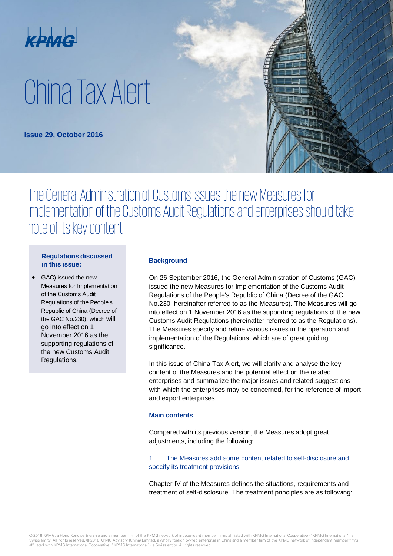

# China Tax Alert

**Issue 29, October 2016**

## The General Administration of Customs issues the new Measures for Implementation of the Customs Audit Regulations and enterprises should take note of its key content

#### **Regulations discussed in this issue:**

• GAC) issued the new Measures for Implementation of the Customs Audit Regulations of the People's Republic of China (Decree of the GAC No.230), which will go into effect on 1 November 2016 as the supporting regulations of the new Customs Audit Regulations.

#### **Background**

On 26 September 2016, the General Administration of Customs (GAC) issued the new Measures for Implementation of the Customs Audit Regulations of the People's Republic of China (Decree of the GAC No.230, hereinafter referred to as the Measures). The Measures will go into effect on 1 November 2016 as the supporting regulations of the new Customs Audit Regulations (hereinafter referred to as the Regulations). The Measures specify and refine various issues in the operation and implementation of the Regulations, which are of great guiding significance.

In this issue of China Tax Alert, we will clarify and analyse the key content of the Measures and the potential effect on the related enterprises and summarize the major issues and related suggestions with which the enterprises may be concerned, for the reference of import and export enterprises.

#### **Main contents**

Compared with its previous version, the Measures adopt great adjustments, including the following:

The Measures add some content related to self-disclosure and specify its treatment provisions

Chapter IV of the Measures defines the situations, requirements and treatment of self-disclosure. The treatment principles are as following: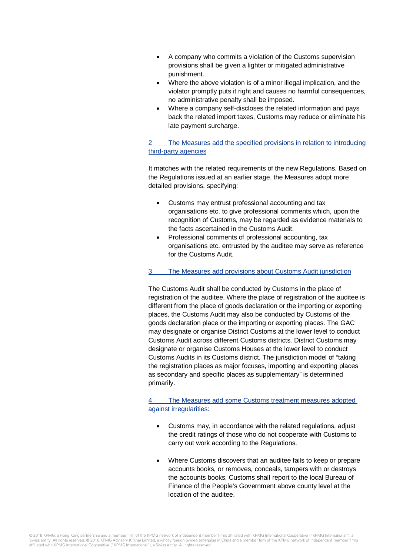- A company who commits a violation of the Customs supervision provisions shall be given a lighter or mitigated administrative punishment.
- Where the above violation is of a minor illegal implication, and the violator promptly puts it right and causes no harmful consequences, no administrative penalty shall be imposed.
- Where a company self-discloses the related information and pays back the related import taxes, Customs may reduce or eliminate his late payment surcharge.

#### 2 The Measures add the specified provisions in relation to introducing third-party agencies

It matches with the related requirements of the new Regulations. Based on the Regulations issued at an earlier stage, the Measures adopt more detailed provisions, specifying:

- Customs may entrust professional accounting and tax organisations etc. to give professional comments which, upon the recognition of Customs, may be regarded as evidence materials to the facts ascertained in the Customs Audit.
- Professional comments of professional accounting, tax organisations etc. entrusted by the auditee may serve as reference for the Customs Audit.

#### 3 The Measures add provisions about Customs Audit jurisdiction

The Customs Audit shall be conducted by Customs in the place of registration of the auditee. Where the place of registration of the auditee is different from the place of goods declaration or the importing or exporting places, the Customs Audit may also be conducted by Customs of the goods declaration place or the importing or exporting places. The GAC may designate or organise District Customs at the lower level to conduct Customs Audit across different Customs districts. District Customs may designate or organise Customs Houses at the lower level to conduct Customs Audits in its Customs district. The jurisdiction model of "taking the registration places as major focuses, importing and exporting places as secondary and specific places as supplementary" is determined primarily.

The Measures add some Customs treatment measures adopted against irregularities:

- Customs may, in accordance with the related regulations, adjust the credit ratings of those who do not cooperate with Customs to carry out work according to the Regulations.
- Where Customs discovers that an auditee fails to keep or prepare accounts books, or removes, conceals, tampers with or destroys the accounts books, Customs shall report to the local Bureau of Finance of the People's Government above county level at the location of the auditee.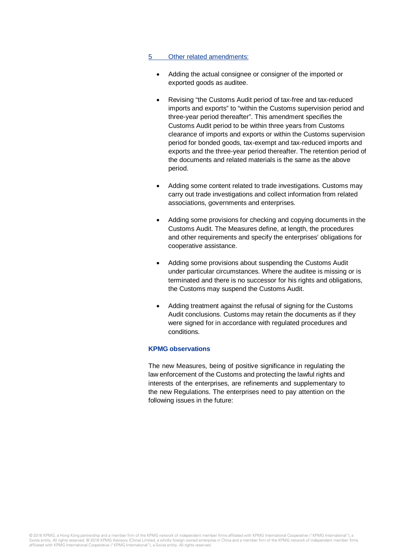#### 5 Other related amendments:

- Adding the actual consignee or consigner of the imported or exported goods as auditee.
- Revising "the Customs Audit period of tax-free and tax-reduced imports and exports" to "within the Customs supervision period and three-year period thereafter". This amendment specifies the Customs Audit period to be within three years from Customs clearance of imports and exports or within the Customs supervision period for bonded goods, tax-exempt and tax-reduced imports and exports and the three-year period thereafter. The retention period of the documents and related materials is the same as the above period.
- Adding some content related to trade investigations. Customs may carry out trade investigations and collect information from related associations, governments and enterprises.
- Adding some provisions for checking and copying documents in the Customs Audit. The Measures define, at length, the procedures and other requirements and specify the enterprises' obligations for cooperative assistance.
- Adding some provisions about suspending the Customs Audit under particular circumstances. Where the auditee is missing or is terminated and there is no successor for his rights and obligations, the Customs may suspend the Customs Audit.
- Adding treatment against the refusal of signing for the Customs Audit conclusions. Customs may retain the documents as if they were signed for in accordance with regulated procedures and conditions.

#### **KPMG observations**

The new Measures, being of positive significance in regulating the law enforcement of the Customs and protecting the lawful rights and interests of the enterprises, are refinements and supplementary to the new Regulations. The enterprises need to pay attention on the following issues in the future: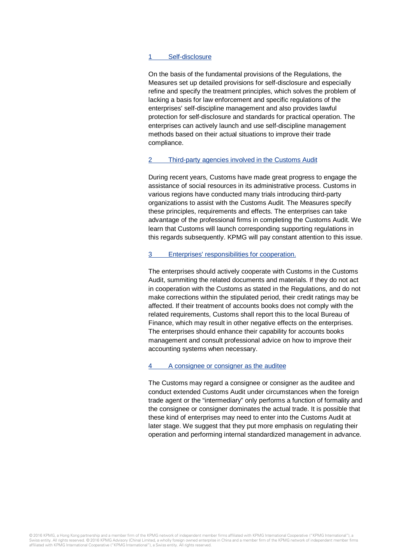#### 1 Self-disclosure

On the basis of the fundamental provisions of the Regulations, the Measures set up detailed provisions for self-disclosure and especially refine and specify the treatment principles, which solves the problem of lacking a basis for law enforcement and specific regulations of the enterprises' self-discipline management and also provides lawful protection for self-disclosure and standards for practical operation. The enterprises can actively launch and use self-discipline management methods based on their actual situations to improve their trade compliance.

#### 2 Third-party agencies involved in the Customs Audit

During recent years, Customs have made great progress to engage the assistance of social resources in its administrative process. Customs in various regions have conducted many trials introducing third-party organizations to assist with the Customs Audit. The Measures specify these principles, requirements and effects. The enterprises can take advantage of the professional firms in completing the Customs Audit. We learn that Customs will launch corresponding supporting regulations in this regards subsequently. KPMG will pay constant attention to this issue.

#### 3 Enterprises' responsibilities for cooperation.

The enterprises should actively cooperate with Customs in the Customs Audit, summiting the related documents and materials. If they do not act in cooperation with the Customs as stated in the Regulations, and do not make corrections within the stipulated period, their credit ratings may be affected. If their treatment of accounts books does not comply with the related requirements, Customs shall report this to the local Bureau of Finance, which may result in other negative effects on the enterprises. The enterprises should enhance their capability for accounts books management and consult professional advice on how to improve their accounting systems when necessary.

#### 4 A consignee or consigner as the auditee

The Customs may regard a consignee or consigner as the auditee and conduct extended Customs Audit under circumstances when the foreign trade agent or the "intermediary" only performs a function of formality and the consignee or consigner dominates the actual trade. It is possible that these kind of enterprises may need to enter into the Customs Audit at later stage. We suggest that they put more emphasis on regulating their operation and performing internal standardized management in advance.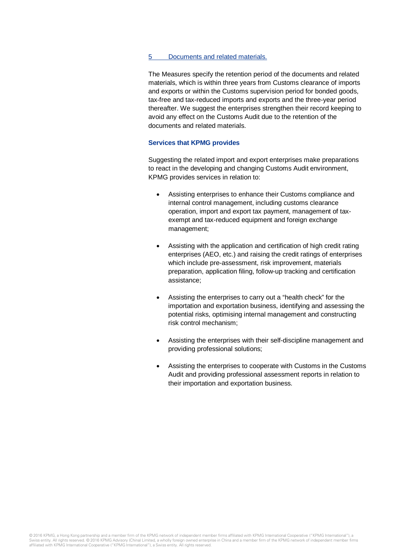#### 5 Documents and related materials.

The Measures specify the retention period of the documents and related materials, which is within three years from Customs clearance of imports and exports or within the Customs supervision period for bonded goods, tax-free and tax-reduced imports and exports and the three-year period thereafter. We suggest the enterprises strengthen their record keeping to avoid any effect on the Customs Audit due to the retention of the documents and related materials.

#### **Services that KPMG provides**

Suggesting the related import and export enterprises make preparations to react in the developing and changing Customs Audit environment, KPMG provides services in relation to:

- Assisting enterprises to enhance their Customs compliance and internal control management, including customs clearance operation, import and export tax payment, management of taxexempt and tax-reduced equipment and foreign exchange management;
- Assisting with the application and certification of high credit rating enterprises (AEO, etc.) and raising the credit ratings of enterprises which include pre-assessment, risk improvement, materials preparation, application filing, follow-up tracking and certification assistance;
- Assisting the enterprises to carry out a "health check" for the importation and exportation business, identifying and assessing the potential risks, optimising internal management and constructing risk control mechanism;
- Assisting the enterprises with their self-discipline management and providing professional solutions;
- Assisting the enterprises to cooperate with Customs in the Customs Audit and providing professional assessment reports in relation to their importation and exportation business.